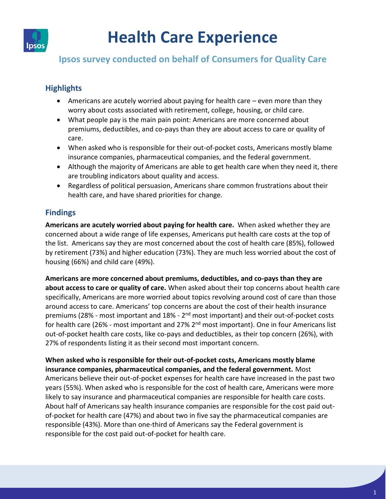

# **Health Care Experience**

# **Ipsos survey conducted on behalf of Consumers for Quality Care**

## **Highlights**

- Americans are acutely worried about paying for health care even more than they worry about costs associated with retirement, college, housing, or child care.
- What people pay is the main pain point: Americans are more concerned about premiums, deductibles, and co-pays than they are about access to care or quality of care.
- When asked who is responsible for their out-of-pocket costs, Americans mostly blame insurance companies, pharmaceutical companies, and the federal government.
- Although the majority of Americans are able to get health care when they need it, there are troubling indicators about quality and access.
- Regardless of political persuasion, Americans share common frustrations about their health care, and have shared priorities for change.

### **Findings**

**Americans are acutely worried about paying for health care.** When asked whether they are concerned about a wide range of life expenses, Americans put health care costs at the top of the list. Americans say they are most concerned about the cost of health care (85%), followed by retirement (73%) and higher education (73%). They are much less worried about the cost of housing (66%) and child care (49%).

**Americans are more concerned about premiums, deductibles, and co-pays than they are about access to care or quality of care.** When asked about their top concerns about health care specifically, Americans are more worried about topics revolving around cost of care than those around access to care. Americans' top concerns are about the cost of their health insurance premiums (28% - most important and 18% - 2<sup>nd</sup> most important) and their out-of-pocket costs for health care (26% - most important and 27% 2<sup>nd</sup> most important). One in four Americans list out-of-pocket health care costs, like co-pays and deductibles, as their top concern (26%), with 27% of respondents listing it as their second most important concern.

**When asked who is responsible for their out-of-pocket costs, Americans mostly blame insurance companies, pharmaceutical companies, and the federal government.** Most Americans believe their out-of-pocket expenses for health care have increased in the past two years (55%). When asked who is responsible for the cost of health care, Americans were more likely to say insurance and pharmaceutical companies are responsible for health care costs. About half of Americans say health insurance companies are responsible for the cost paid outof-pocket for health care (47%) and about two in five say the pharmaceutical companies are responsible (43%). More than one-third of Americans say the Federal government is responsible for the cost paid out-of-pocket for health care.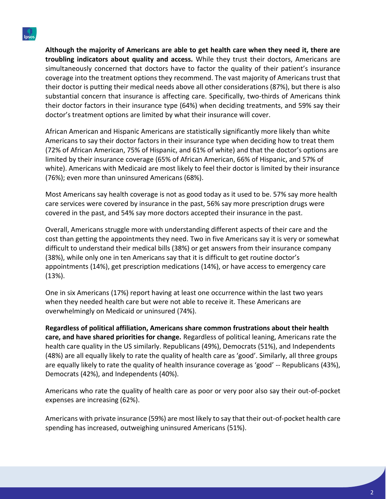**Although the majority of Americans are able to get health care when they need it, there are troubling indicators about quality and access.** While they trust their doctors, Americans are simultaneously concerned that doctors have to factor the quality of their patient's insurance coverage into the treatment options they recommend. The vast majority of Americans trust that their doctor is putting their medical needs above all other considerations (87%), but there is also substantial concern that insurance is affecting care. Specifically, two-thirds of Americans think their doctor factors in their insurance type (64%) when deciding treatments, and 59% say their doctor's treatment options are limited by what their insurance will cover.

African American and Hispanic Americans are statistically significantly more likely than white Americans to say their doctor factors in their insurance type when deciding how to treat them (72% of African American, 75% of Hispanic, and 61% of white) and that the doctor's options are limited by their insurance coverage (65% of African American, 66% of Hispanic, and 57% of white). Americans with Medicaid are most likely to feel their doctor is limited by their insurance (76%); even more than uninsured Americans (68%).

Most Americans say health coverage is not as good today as it used to be. 57% say more health care services were covered by insurance in the past, 56% say more prescription drugs were covered in the past, and 54% say more doctors accepted their insurance in the past.

Overall, Americans struggle more with understanding different aspects of their care and the cost than getting the appointments they need. Two in five Americans say it is very or somewhat difficult to understand their medical bills (38%) or get answers from their insurance company (38%), while only one in ten Americans say that it is difficult to get routine doctor's appointments (14%), get prescription medications (14%), or have access to emergency care (13%).

One in six Americans (17%) report having at least one occurrence within the last two years when they needed health care but were not able to receive it. These Americans are overwhelmingly on Medicaid or uninsured (74%).

**Regardless of political affiliation, Americans share common frustrations about their health care, and have shared priorities for change.** Regardless of political leaning, Americans rate the health care quality in the US similarly. Republicans (49%), Democrats (51%), and Independents (48%) are all equally likely to rate the quality of health care as 'good'. Similarly, all three groups are equally likely to rate the quality of health insurance coverage as 'good' -- Republicans (43%), Democrats (42%), and Independents (40%).

Americans who rate the quality of health care as poor or very poor also say their out-of-pocket expenses are increasing (62%).

Americans with private insurance (59%) are most likely to say that their out-of-pocket health care spending has increased, outweighing uninsured Americans (51%).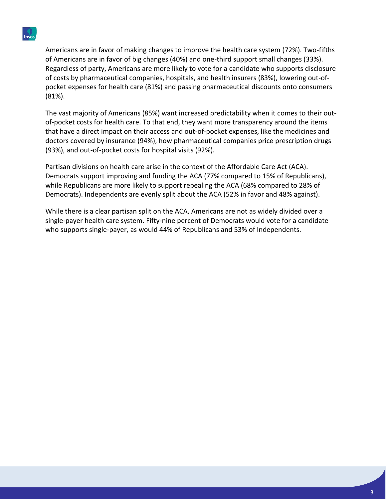Americans are in favor of making changes to improve the health care system (72%). Two-fifths of Americans are in favor of big changes (40%) and one-third support small changes (33%). Regardless of party, Americans are more likely to vote for a candidate who supports disclosure of costs by pharmaceutical companies, hospitals, and health insurers (83%), lowering out-ofpocket expenses for health care (81%) and passing pharmaceutical discounts onto consumers (81%).

The vast majority of Americans (85%) want increased predictability when it comes to their outof-pocket costs for health care. To that end, they want more transparency around the items that have a direct impact on their access and out-of-pocket expenses, like the medicines and doctors covered by insurance (94%), how pharmaceutical companies price prescription drugs (93%), and out-of-pocket costs for hospital visits (92%).

Partisan divisions on health care arise in the context of the Affordable Care Act (ACA). Democrats support improving and funding the ACA (77% compared to 15% of Republicans), while Republicans are more likely to support repealing the ACA (68% compared to 28% of Democrats). Independents are evenly split about the ACA (52% in favor and 48% against).

While there is a clear partisan split on the ACA, Americans are not as widely divided over a single-payer health care system. Fifty-nine percent of Democrats would vote for a candidate who supports single-payer, as would 44% of Republicans and 53% of Independents.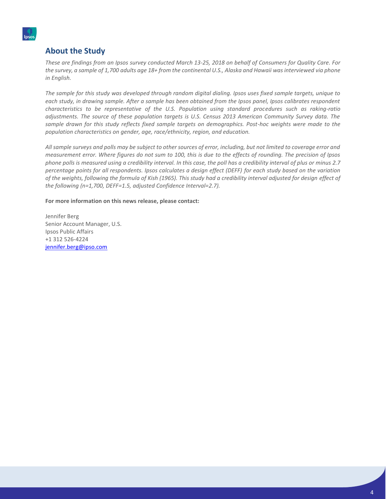#### **About the Study**

*These are findings from an Ipsos survey conducted March 13-25, 2018 on behalf of Consumers for Quality Care. For the survey, a sample of 1,700 adults age 18+ from the continental U.S., Alaska and Hawaii was interviewed via phone in English.* 

*The sample for this study was developed through random digital dialing. Ipsos uses fixed sample targets, unique to each study, in drawing sample. After a sample has been obtained from the Ipsos panel, Ipsos calibrates respondent characteristics to be representative of the U.S. Population using standard procedures such as raking-ratio adjustments. The source of these population targets is U.S. Census 2013 American Community Survey data. The sample drawn for this study reflects fixed sample targets on demographics. Post-hoc weights were made to the population characteristics on gender, age, race/ethnicity, region, and education.* 

*All sample surveys and polls may be subject to other sources of error, including, but not limited to coverage error and measurement error. Where figures do not sum to 100, this is due to the effects of rounding. The precision of Ipsos phone polls is measured using a credibility interval. In this case, the poll has a credibility interval of plus or minus 2.7 percentage points for all respondents. Ipsos calculates a design effect (DEFF) for each study based on the variation of the weights, following the formula of Kish (1965). This study had a credibility interval adjusted for design effect of the following (n=1,700, DEFF=1.5, adjusted Confidence Interval=2.7).* 

**For more information on this news release, please contact:**

Jennifer Berg Senior Account Manager, U.S. Ipsos Public Affairs +1 312 526-4224 [jennifer.berg@ipso.com](mailto:jennifer.berg@ipso.com)